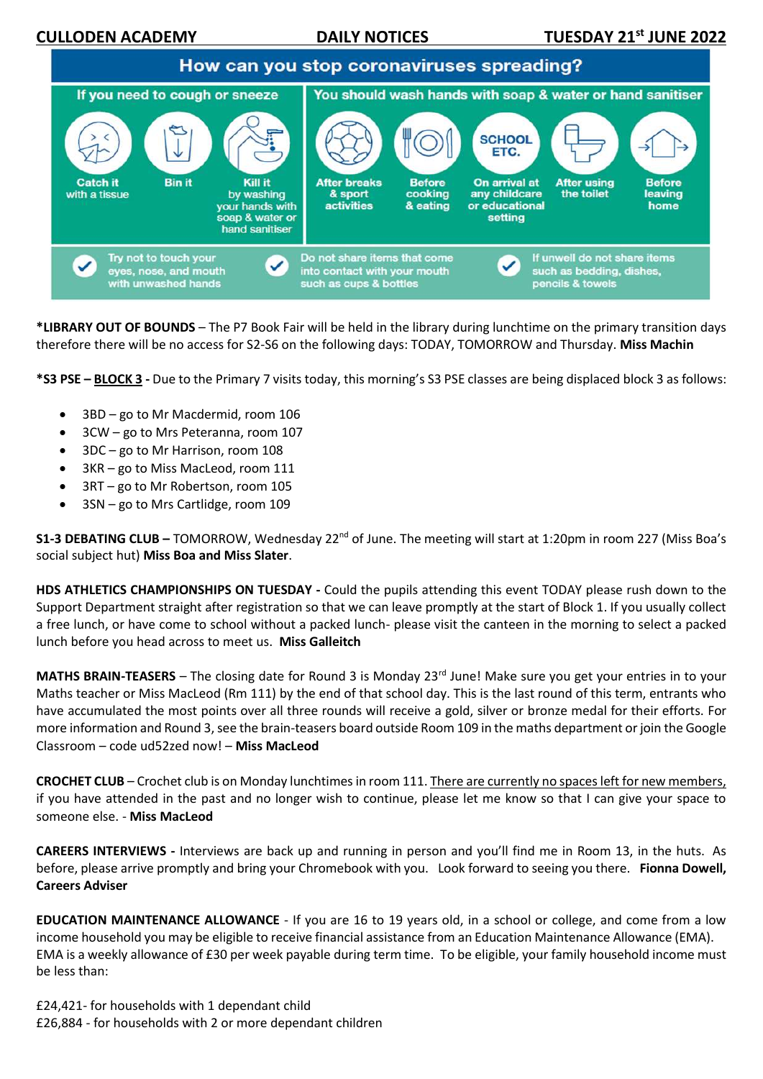**CULLODEN ACADEMY 21 DAILY NOTICES** 



**\*LIBRARY OUT OF BOUNDS** – The P7 Book Fair will be held in the library during lunchtime on the primary transition days therefore there will be no access for S2-S6 on the following days: TODAY, TOMORROW and Thursday. **Miss Machin**

**\*S3 PSE – BLOCK 3 -** Due to the Primary 7 visits today, this morning's S3 PSE classes are being displaced block 3 as follows:

- 3BD go to Mr Macdermid, room 106
- 3CW go to Mrs Peteranna, room 107
- 3DC go to Mr Harrison, room 108
- 3KR go to Miss MacLeod, room 111
- 3RT go to Mr Robertson, room 105
- 3SN go to Mrs Cartlidge, room 109

**S1-3 DEBATING CLUB –** TOMORROW, Wednesday 22<sup>nd</sup> of June. The meeting will start at 1:20pm in room 227 (Miss Boa's social subject hut) **Miss Boa and Miss Slater**.

**HDS ATHLETICS CHAMPIONSHIPS ON TUESDAY -** Could the pupils attending this event TODAY please rush down to the Support Department straight after registration so that we can leave promptly at the start of Block 1. If you usually collect a free lunch, or have come to school without a packed lunch- please visit the canteen in the morning to select a packed lunch before you head across to meet us. **Miss Galleitch**

**MATHS BRAIN-TEASERS** – The closing date for Round 3 is Monday 23<sup>rd</sup> June! Make sure you get your entries in to your Maths teacher or Miss MacLeod (Rm 111) by the end of that school day. This is the last round of this term, entrants who have accumulated the most points over all three rounds will receive a gold, silver or bronze medal for their efforts. For more information and Round 3, see the brain-teasers board outside Room 109 in the maths department or join the Google Classroom – code ud52zed now! – **Miss MacLeod**

**CROCHET CLUB** – Crochet club is on Monday lunchtimes in room 111. There are currently no spaces left for new members, if you have attended in the past and no longer wish to continue, please let me know so that I can give your space to someone else. - **Miss MacLeod**

**CAREERS INTERVIEWS -** Interviews are back up and running in person and you'll find me in Room 13, in the huts.  As before, please arrive promptly and bring your Chromebook with you.   Look forward to seeing you there.**Fionna Dowell, Careers Adviser**

**EDUCATION MAINTENANCE ALLOWANCE** - If you are 16 to 19 years old, in a school or college, and come from a low income household you may be eligible to receive financial assistance from an Education Maintenance Allowance (EMA). EMA is a weekly allowance of £30 per week payable during term time. To be eligible, your family household income must be less than:

£24,421- for households with 1 dependant child £26,884 - for households with 2 or more dependant children